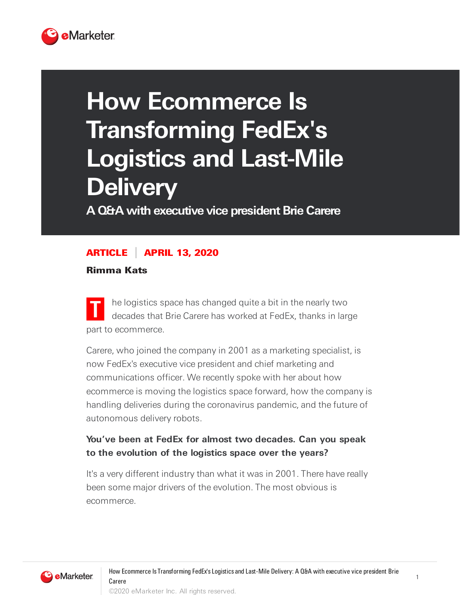

# **How Ecommerce Is Transforming FedEx's Logistics and Last-Mile Delivery**

**A Q&A with executive vice president Brie Carere**

### ARTICLE APRIL 13, 2020

Rimma Kats

**T** he logistics space has changed quite a bit in the nearly two decades that Brie Carere has worked at FedEx, thanks in large part to ecommerce.

Carere, who joined the company in 2001 as a marketing specialist, is now FedEx's executive vice president and chief marketing and communications officer. We recently spoke with her about how ecommerce is moving the logistics space forward, how the company is handling deliveries during the coronavirus pandemic, and the future of autonomous delivery robots.

## **You've been at FedEx for almost two decades. Can you speak to the evolution of the logistics space over the years?**

It's a very different industry than what it was in 2001. There have really been some major drivers of the evolution. The most obvious is ecommerce.

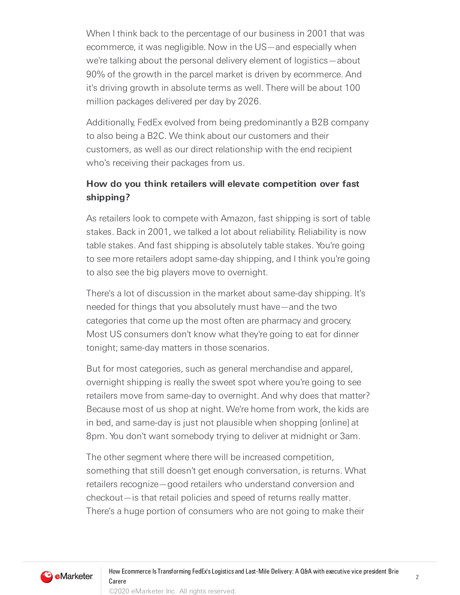When I think back to the percentage of our business in 2001 that was ecommerce, it was negligible. Now in the US—and especially when we're talking about the personal delivery element of logistics—about 90% of the growth in the parcel market is driven by ecommerce. And it's driving growth in absolute terms as well. There will be about 100 million packages delivered per day by 2026.

Additionally, FedEx evolved from being predominantly a B2B company to also being a B2C. We think about our customers and their customers, as well as our direct relationship with the end recipient who's receiving their packages from us.

# **How do you think retailers will elevate competition over fast shipping?**

As retailers look to compete with Amazon, fast shipping is sort of table stakes. Back in 2001, we talked a lot about reliability. Reliability is now table stakes. And fast shipping is absolutely table stakes. You're going to see more retailers adopt same-day shipping, and I think you're going to also see the big players move to overnight.

There's a lot of discussion in the market about same-day shipping. It's needed for things that you absolutely must have—and the two categories that come up the most often are pharmacy and grocery. Most US consumers don't know what they're going to eat for dinner tonight; same-day matters in those scenarios.

But for most categories, such as general merchandise and apparel, overnight shipping is really the sweet spot where you're going to see retailers move from same-day to overnight. And why does that matter? Because most of us shop at night. We're home from work, the kids are in bed, and same-day is just not plausible when shopping [online] at 8pm. You don't want somebody trying to deliver at midnight or 3am.

The other segment where there will be increased competition, something that still doesn't get enough conversation, is returns. What retailers recognize—good retailers who understand conversion and checkout—is that retail policies and speed of returns really matter. There's a huge portion of consumers who are not going to make their

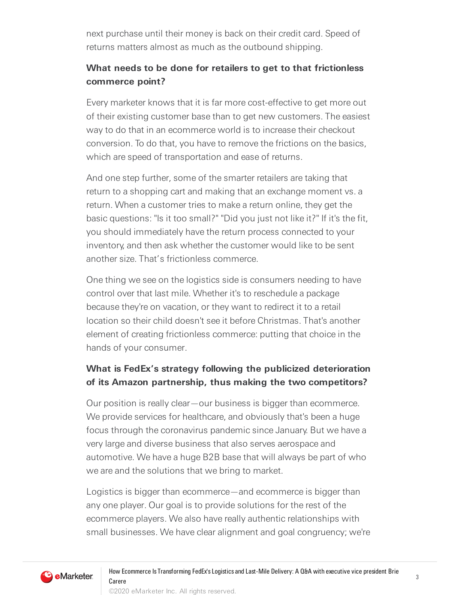next purchase until their money is back on their credit card. Speed of returns matters almost as much as the outbound shipping.

#### **What needs to be done for retailers to get to that frictionless commerce point?**

Every marketer knows that it is far more cost-effective to get more out of their existing customer base than to get new customers. The easiest way to do that in an ecommerce world is to increase their checkout conversion. To do that, you have to remove the frictions on the basics, which are speed of transportation and ease of returns.

And one step further, some of the smarter retailers are taking that return to a shopping cart and making that an exchange moment vs. a return. When a customer tries to make a return online, they get the basic questions: "Is it too small?" "Did you just not like it?" If it's the fit, you should immediately have the return process connected to your inventory, and then ask whether the customer would like to be sent another size. That's frictionless commerce.

One thing we see on the logistics side is consumers needing to have control over that last mile. Whether it's to reschedule a package because they're on vacation, or they want to redirect it to a retail location so their child doesn't see it before Christmas. That's another element of creating frictionless commerce: putting that choice in the hands of your consumer.

## **What is FedEx's strategy following the publicized deterioration of its Amazon partnership, thus making the two competitors?**

Our position is really clear—our business is bigger than ecommerce. We provide services for healthcare, and obviously that's been a huge focus through the coronavirus pandemic since January. But we have a very large and diverse business that also serves aerospace and automotive. We have a huge B2B base that will always be part of who we are and the solutions that we bring to market.

Logistics is bigger than ecommerce—and ecommerce is bigger than any one player. Our goal is to provide solutions for the rest of the ecommerce players. We also have really authentic relationships with small businesses. We have clear alignment and goal congruency; we're

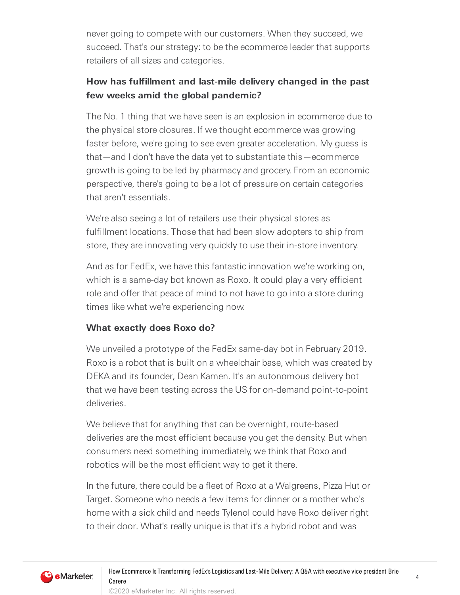never going to compete with our customers. When they succeed, we succeed. That's our strategy: to be the ecommerce leader that supports retailers of all sizes and categories.

## **How has fulfillment and last-mile delivery changed in the past few weeks amid the global pandemic?**

The No. 1 thing that we have seen is an explosion in ecommerce due to the physical store closures. If we thought ecommerce was growing faster before, we're going to see even greater acceleration. My guess is that—and I don't have the data yet to substantiate this—ecommerce growth is going to be led by pharmacy and grocery. From an economic perspective, there's going to be a lot of pressure on certain categories that aren't essentials.

We're also seeing a lot of retailers use their physical stores as fulfillment locations. Those that had been slow adopters to ship from store, they are innovating very quickly to use their in-store inventory.

And as for FedEx, we have this fantastic innovation we're working on, which is a same-day bot known as Roxo. It could play a very efficient role and offer that peace of mind to not have to go into a store during times like what we're experiencing now.

#### **What exactly does Roxo do?**

We unveiled a prototype of the FedEx same-day bot in February 2019. Roxo is a robot that is built on a wheelchair base, which was created by DEKA and its founder, Dean Kamen. It's an autonomous delivery bot that we have been testing across the US for on-demand point-to-point deliveries.

We believe that for anything that can be overnight, route-based deliveries are the most efficient because you get the density. But when consumers need something immediately, we think that Roxo and robotics will be the most efficient way to get it there.

In the future, there could be a fleet of Roxo at a Walgreens, Pizza Hut or Target. Someone who needs a few items for dinner or a mother who's home with a sick child and needs Tylenol could have Roxo deliver right to their door. What's really unique is that it's a hybrid robot and was